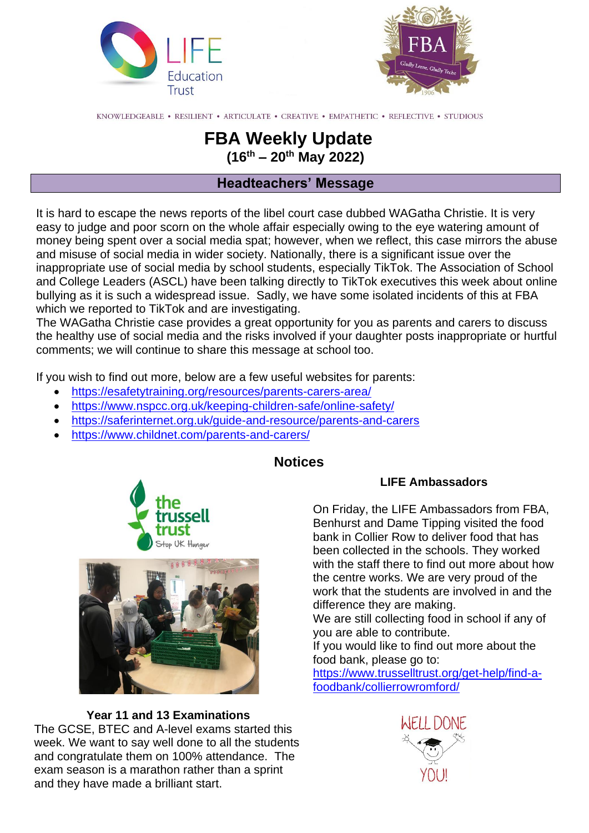



KNOWLEDGEABLE • RESILIENT • ARTICULATE • CREATIVE • EMPATHETIC • REFLECTIVE • STUDIOUS

# **FBA Weekly Update (16th – 20th May 2022)**

# **Headteachers' Message**

It is hard to escape the news reports of the libel court case dubbed WAGatha Christie. It is very easy to judge and poor scorn on the whole affair especially owing to the eye watering amount of money being spent over a social media spat; however, when we reflect, this case mirrors the abuse and misuse of social media in wider society. Nationally, there is a significant issue over the inappropriate use of social media by school students, especially TikTok. The Association of School and College Leaders (ASCL) have been talking directly to TikTok executives this week about online bullying as it is such a widespread issue. Sadly, we have some isolated incidents of this at FBA which we reported to TikTok and are investigating.

The WAGatha Christie case provides a great opportunity for you as parents and carers to discuss the healthy use of social media and the risks involved if your daughter posts inappropriate or hurtful comments; we will continue to share this message at school too.

If you wish to find out more, below are a few useful websites for parents:

- <https://esafetytraining.org/resources/parents-carers-area/>
- <https://www.nspcc.org.uk/keeping-children-safe/online-safety/>
- <https://saferinternet.org.uk/guide-and-resource/parents-and-carers>
- <https://www.childnet.com/parents-and-carers/>



#### **Notices**

## **LIFE Ambassadors**

On Friday, the LIFE Ambassadors from FBA, Benhurst and Dame Tipping visited the food bank in Collier Row to deliver food that has been collected in the schools. They worked with the staff there to find out more about how the centre works. We are very proud of the work that the students are involved in and the difference they are making.

We are still collecting food in school if any of you are able to contribute.

If you would like to find out more about the food bank, please go to:

[https://www.trusselltrust.org/get-help/find-a](https://www.trusselltrust.org/get-help/find-a-foodbank/collierrowromford/)[foodbank/collierrowromford/](https://www.trusselltrust.org/get-help/find-a-foodbank/collierrowromford/)

**Year 11 and 13 Examinations** The GCSE, BTEC and A-level exams started this week. We want to say well done to all the students and congratulate them on 100% attendance. The exam season is a marathon rather than a sprint and they have made a brilliant start.

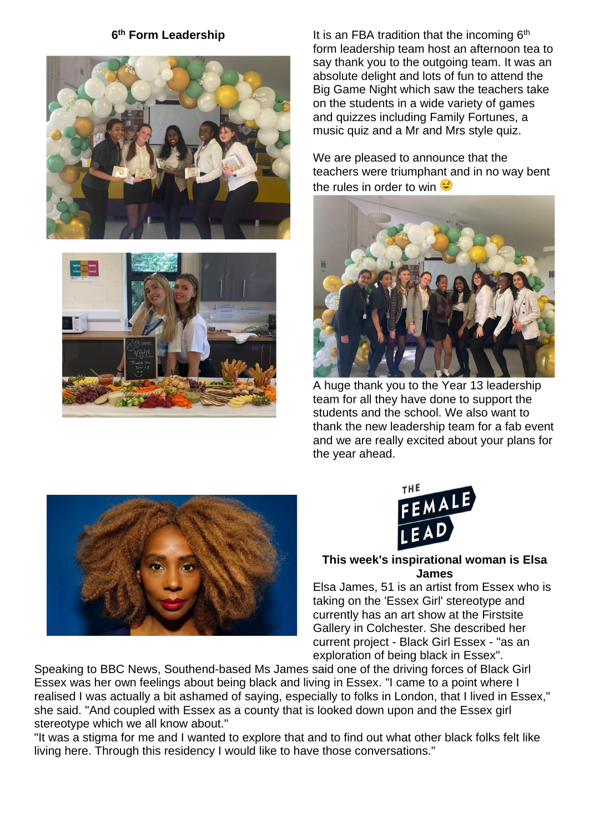### 6<sup>th</sup> Form Leadership





It is an FBA tradition that the incoming 6<sup>th</sup> form leadership team host an afternoon tea to say thank you to the outgoing team. It was an absolute delight and lots of fun to attend the Big Game Night which saw the teachers take on the students in a wide variety of games and quizzes including Family Fortunes, a music quiz and a Mr and Mrs style quiz.

We are pleased to announce that the teachers were triumphant and in no way bent the rules in order to win  $\heartsuit$ 



A huge thank you to the Year 13 leadership team for all they have done to support the students and the school. We also want to thank the new leadership team for a fab event and we are really excited about your plans for the year ahead.





#### **This week's inspirational woman is Elsa James**

Elsa James, 51 is an artist from Essex who is taking on the 'Essex Girl' stereotype and currently has an art show at the Firstsite Gallery in Colchester. She described her current project - Black Girl Essex - "as an exploration of being black in Essex".

Speaking to BBC News, Southend-based Ms James said one of the driving forces of Black Girl Essex was her own feelings about being black and living in Essex. "I came to a point where I realised I was actually a bit ashamed of saying, especially to folks in London, that I lived in Essex," she said. "And coupled with Essex as a county that is looked down upon and the Essex girl stereotype which we all know about."

"It was a stigma for me and I wanted to explore that and to find out what other black folks felt like living here. Through this residency I would like to have those conversations."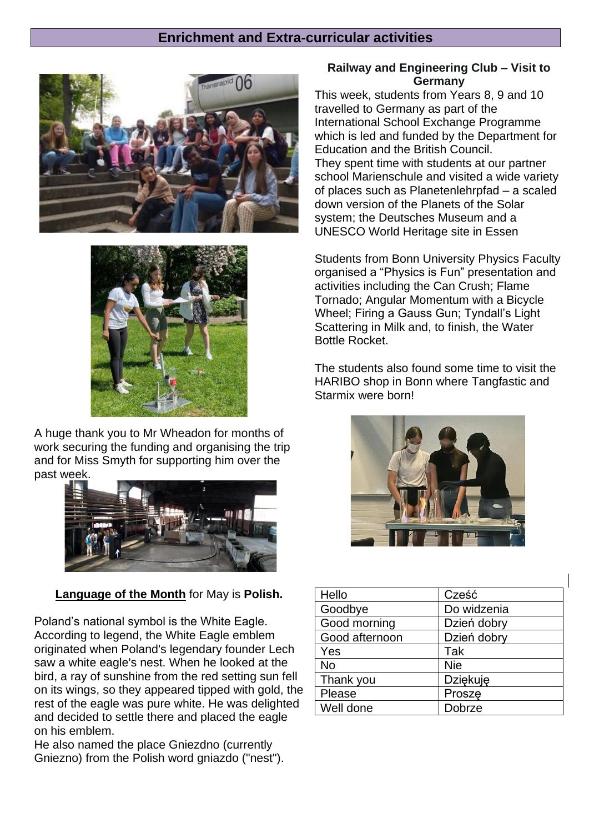### **Enrichment and Extra-curricular activities**





A huge thank you to Mr Wheadon for months of work securing the funding and organising the trip and for Miss Smyth for supporting him over the past week.



**Language of the Month** for May is **Polish.**

Poland's national symbol is the White Eagle. According to legend, the White Eagle emblem originated when Poland's legendary founder Lech saw a white eagle's nest. When he looked at the bird, a ray of sunshine from the red setting sun fell on its wings, so they appeared tipped with gold, the rest of the eagle was pure white. He was delighted and decided to settle there and placed the eagle on his emblem.

He also named the place Gniezdno (currently Gniezno) from the Polish word gniazdo ("nest").

### **Railway and Engineering Club – Visit to Germany**

This week, students from Years 8, 9 and 10 travelled to Germany as part of the International School Exchange Programme which is led and funded by the Department for Education and the British Council. They spent time with students at our partner school Marienschule and visited a wide variety of places such as Planetenlehrpfad – a scaled down version of the Planets of the Solar system; the Deutsches Museum and a UNESCO World Heritage site in Essen

Students from Bonn University Physics Faculty organised a "Physics is Fun" presentation and activities including the Can Crush; Flame Tornado; Angular Momentum with a Bicycle Wheel; Firing a Gauss Gun; Tyndall's Light Scattering in Milk and, to finish, the Water Bottle Rocket.

The students also found some time to visit the HARIBO shop in Bonn where Tangfastic and Starmix were born!



| Hello          | Cześć           |
|----------------|-----------------|
| Goodbye        | Do widzenia     |
| Good morning   | Dzień dobry     |
| Good afternoon | Dzień dobry     |
| Yes            | Tak             |
| No             | <b>Nie</b>      |
| Thank you      | <b>Dziękuję</b> |
| Please         | Prosze          |
| Well done      | Dobrze          |